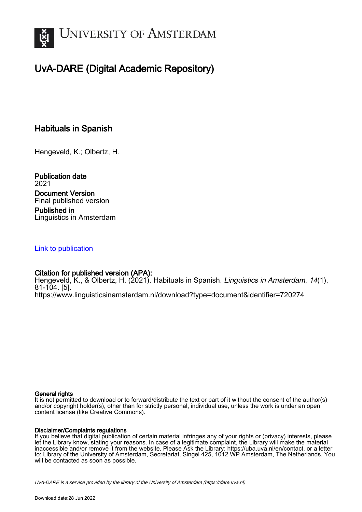

# UvA-DARE (Digital Academic Repository)

#### Habituals in Spanish

Hengeveld, K.; Olbertz, H.

Publication date 2021 Document Version Final published version Published in Linguistics in Amsterdam

#### [Link to publication](https://dare.uva.nl/personal/pure/en/publications/habituals-in-spanish(24d559e3-e0ce-4cda-a096-cba14cabc172).html)

#### Citation for published version (APA):

Hengeveld, K., & Olbertz, H. (2021). Habituals in Spanish. Linguistics in Amsterdam, 14(1), 81-104. [5]. <https://www.linguisticsinamsterdam.nl/download?type=document&identifier=720274>

#### General rights

It is not permitted to download or to forward/distribute the text or part of it without the consent of the author(s) and/or copyright holder(s), other than for strictly personal, individual use, unless the work is under an open content license (like Creative Commons).

#### Disclaimer/Complaints regulations

If you believe that digital publication of certain material infringes any of your rights or (privacy) interests, please let the Library know, stating your reasons. In case of a legitimate complaint, the Library will make the material inaccessible and/or remove it from the website. Please Ask the Library: https://uba.uva.nl/en/contact, or a letter to: Library of the University of Amsterdam, Secretariat, Singel 425, 1012 WP Amsterdam, The Netherlands. You will be contacted as soon as possible.

UvA-DARE is a service provided by the library of the University of Amsterdam (http*s*://dare.uva.nl)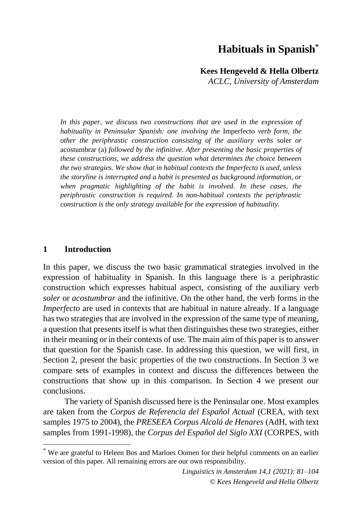# **Habituals in Spanish\***

#### **Kees Hengeveld & Hella Olbertz**

*ACLC, University of Amsterdam*

*In this paper, we discuss two constructions that are used in the expression of habituality in Peninsular Spanish: one involving the* Imperfecto *verb form, the other the periphrastic construction consisting of the auxiliary verbs* soler *or*  acostumbrar (a) *followed by the infinitive. After presenting the basic properties of these constructions, we address the question what determines the choice between the two strategies. We show that in habitual contexts the Imperfecto is used, unless the storyline is interrupted and a habit is presented as background information, or when pragmatic highlighting of the habit is involved. In these cases, the periphrastic construction is required. In non-habitual contexts the periphrastic construction is the only strategy available for the expression of habituality.*

#### **1 Introduction**

In this paper, we discuss the two basic grammatical strategies involved in the expression of habituality in Spanish. In this language there is a periphrastic construction which expresses habitual aspect, consisting of the auxiliary verb *soler* or *acostumbrar* and the infinitive. On the other hand, the verb forms in the *Imperfecto* are used in contexts that are habitual in nature already. If a language has two strategies that are involved in the expression of the same type of meaning, a question that presents itself is what then distinguishes these two strategies, either in their meaning or in their contexts of use. The main aim of this paper is to answer that question for the Spanish case. In addressing this question, we will first, in Section 2, present the basic properties of the two constructions. In Section 3 we compare sets of examples in context and discuss the differences between the constructions that show up in this comparison. In Section 4 we present our conclusions.

The variety of Spanish discussed here is the Peninsular one. Most examples are taken from the *Corpus de Referencia del Español Actual* (CREA, with text samples 1975 to 2004), the *PRESEEA Corpus Alcalá de Henares* (AdH, with text samples from 1991-1998), the *Corpus del Español del Siglo XXI* (CORPES, with

<sup>\*</sup> We are grateful to Heleen Bos and Marloes Oomen for their helpful comments on an earlier version of this paper. All remaining errors are our own responsibility.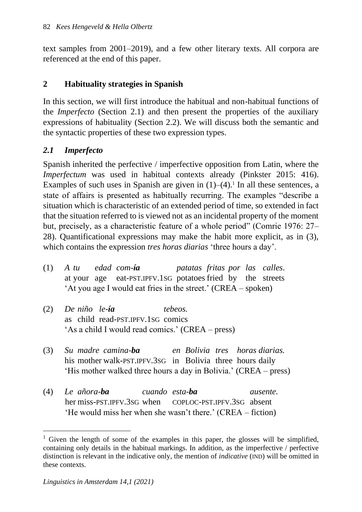text samples from 2001–2019), and a few other literary texts. All corpora are referenced at the end of this paper.

#### **2 Habituality strategies in Spanish**

In this section, we will first introduce the habitual and non-habitual functions of the *Imperfecto* (Section 2.1) and then present the properties of the auxiliary expressions of habituality (Section 2.2). We will discuss both the semantic and the syntactic properties of these two expression types.

# *2.1 Imperfecto*

Spanish inherited the perfective / imperfective opposition from Latin, where the *Imperfectum* was used in habitual contexts already (Pinkster 2015: 416). Examples of such uses in Spanish are given in  $(1)$ – $(4)$ .<sup>1</sup> In all these sentences, a state of affairs is presented as habitually recurring. The examples "describe a situation which is characteristic of an extended period of time, so extended in fact that the situation referred to is viewed not as an incidental property of the moment but, precisely, as a characteristic feature of a whole period" (Comrie 1976: 27– 28). Quantificational expressions may make the habit more explicit, as in (3), which contains the expression *tres horas diarias* 'three hours a day'.

- (1) *A tu edad com-ía patatas fritas por las calles*. at your age eat-PST.IPFV.1SG potatoes fried by the streets 'At you age I would eat fries in the street.' (CREA – spoken)
- (2) *De niño le-ía tebeos.* as child read-PST.IPFV.1SG comics 'As a child I would read comics.' (CREA – press)
- (3) *Su madre camina-ba en Bolivia tres horas diarias.* his mother walk-PST.IPFV.3SG in Bolivia three hours daily 'His mother walked three hours a day in Bolivia.' (CREA – press)
- (4) *Le añora-ba cuando esta-ba ausente.* her miss-PST.IPFV.3SG when COPLOC-PST.IPFV.3SG absent 'He would miss her when she wasn't there.' (CREA – fiction)

<sup>&</sup>lt;sup>1</sup> Given the length of some of the examples in this paper, the glosses will be simplified, containing only details in the habitual markings. In addition, as the imperfective / perfective distinction is relevant in the indicative only, the mention of *indicative* (IND) will be omitted in these contexts.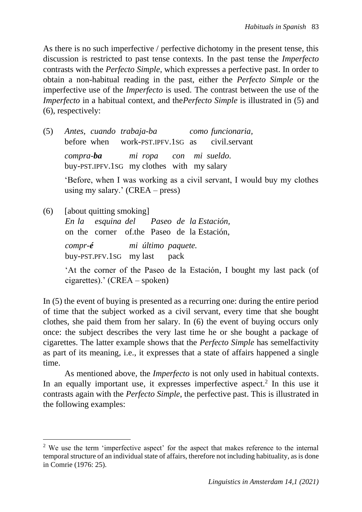As there is no such imperfective / perfective dichotomy in the present tense, this discussion is restricted to past tense contexts. In the past tense the *Imperfecto* contrasts with the *Perfecto Simple*, which expresses a perfective past. In order to obtain a non-habitual reading in the past, either the *Perfecto Simple* or the imperfective use of the *Imperfecto* is used. The contrast between the use of the *Imperfecto* in a habitual context, and the *Perfecto Simple* is illustrated in (5) and (6), respectively:

- (5) *Antes, cuando trabaja-ba como funcionaria,* before when work-PST.IPFV.1SG as civil.servant *compra-ba mi ropa con mi sueldo.* buy-PST.IPFV.1SG my clothes with my salary 'Before, when I was working as a civil servant, I would buy my clothes using my salary.' (CREA – press)
- (6) [about quitting smoking] *En la esquina del Paseo de la Estación,*  on the corner of.the Paseo de la Estación, *compr-é mi último paquete.* buy-PST.PFV.1SG my last pack

'At the corner of the Paseo de la Estación, I bought my last pack (of cigarettes).' (CREA – spoken)

In (5) the event of buying is presented as a recurring one: during the entire period of time that the subject worked as a civil servant, every time that she bought clothes, she paid them from her salary. In (6) the event of buying occurs only once: the subject describes the very last time he or she bought a package of cigarettes. The latter example shows that the *Perfecto Simple* has semelfactivity as part of its meaning, i.e., it expresses that a state of affairs happened a single time.

As mentioned above, the *Imperfecto* is not only used in habitual contexts. In an equally important use, it expresses imperfective aspect.<sup>2</sup> In this use it contrasts again with the *Perfecto Simple*, the perfective past. This is illustrated in the following examples:

<sup>&</sup>lt;sup>2</sup> We use the term 'imperfective aspect' for the aspect that makes reference to the internal temporal structure of an individual state of affairs, therefore not including habituality, as is done in Comrie (1976: 25).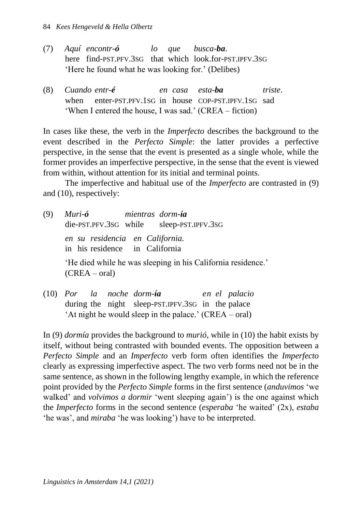- (7) *Aquí encontr-ó lo que busca-ba*. here find-PST.PFV.3SG that which look.for-PST.IPFV.3SG 'Here he found what he was looking for.' (Delibes)
- (8) *Cuando entr-é en casa esta-ba triste*. when enter-PST.PFV.1SG in house COP-PST.IPFV.1SG sad 'When I entered the house, I was sad.' (CREA – fiction)

In cases like these, the verb in the *Imperfecto* describes the background to the event described in the *Perfecto Simple*: the latter provides a perfective perspective, in the sense that the event is presented as a single whole, while the former provides an imperfective perspective, in the sense that the event is viewed from within, without attention for its initial and terminal points.

The imperfective and habitual use of the *Imperfecto* are contrasted in (9) and (10), respectively:

- (9) *Muri-ó mientras dorm-ía* die-PST.PFV.3SG while sleep-PST.IPFV.3SG *en su residencia en California.* in his residence in California 'He died while he was sleeping in his California residence.' (CREA – oral)
- (10) *Por la noche dorm-ía en el palacio* during the night sleep-PST.IPFV.3SG in the palace 'At night he would sleep in the palace.' (CREA – oral)

In (9) *dormía* provides the background to *murió*, while in (10) the habit exists by itself, without being contrasted with bounded events. The opposition between a *Perfecto Simple* and an *Imperfecto* verb form often identifies the *Imperfecto* clearly as expressing imperfective aspect. The two verb forms need not be in the same sentence, as shown in the following lengthy example, in which the reference point provided by the *Perfecto Simple* forms in the first sentence (*anduvimos* 'we walked' and *volvimos a dormir* 'went sleeping again') is the one against which the *Imperfecto* forms in the second sentence (*esperaba* 'he waited' (2x), *estaba*  'he was', and *miraba* 'he was looking') have to be interpreted.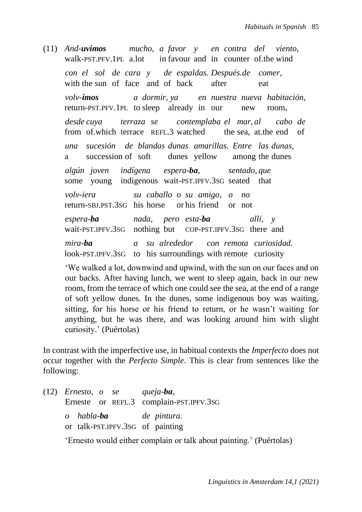(11) *And-uvimos mucho, a favor y en contra del viento,* walk-PST.PFV.1PL a.lot in favour and in counter of.the wind *con el sol de cara y de espaldas. Después.de comer,* with the sun of face and of back after eat *volv-imos a dormir, ya en nuestra nueva habitación,* return-PST.PFV.1PL to sleep already in our new room, *desde cuya terraza se contemplaba el mar, al cabo de* from of.which terrace REFL.3 watched the sea, at.the end of *una sucesión de blandas dunas amarillas. Entre las dunas,*  a succession of soft dunes yellow among the dunes *algún joven indígena espera-ba, sentado, que* some young indigenous wait-PST.IPFV.3SG seated that *volv-iera su caballo o su amigo, o no* return-SBJ.PST.3SG his horse or his friend or not *espera-ba nada, pero esta-ba allí, y* wait-PST.IPFV.3SG nothing but COP-PST.IPFV.3SG there and *mira-ba a su alrededor con remota curiosidad.* look-PST.IPFV.3SG to his surroundings with remote curiosity

'We walked a lot, downwind and upwind, with the sun on our faces and on our backs. After having lunch, we went to sleep again, back in our new room, from the terrace of which one could see the sea, at the end of a range of soft yellow dunes. In the dunes, some indigenous boy was waiting, sitting, for his horse or his friend to return, or he wasn't waiting for anything, but he was there, and was looking around him with slight curiosity.' (Puértolas)

In contrast with the imperfective use, in habitual contexts the *Imperfecto* does not occur together with the *Perfecto Simple*. This is clear from sentences like the following:

(12) *Ernesto, o se queja-ba,* Erneste or REFL.3 complain-PST.IPFV.3SG *o habla-ba de pintura.* or talk-PST.IPFV.3SG of painting

'Ernesto would either complain or talk about painting.' (Puértolas)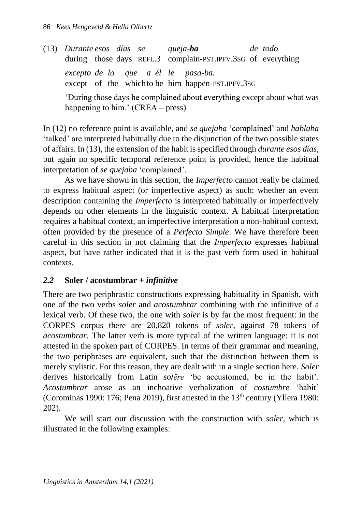(13) *Durante esos días se queja-ba de todo* during those days REFL.3 complain-PST.IPFV.3SG of everything *excepto de lo que a él le pasa-ba.* except of the whichto he him happen-PST.IPFV.3SG 'During those days he complained about everything except about what was happening to him.' (CREA – press)

In (12) no reference point is available, and *se quejaba* 'complained' and *hablaba* 'talked' are interpreted habitually due to the disjunction of the two possible states of affairs. In (13), the extension of the habit is specified through *durante esos días*, but again no specific temporal reference point is provided, hence the habitual interpretation of *se quejaba* 'complained'.

As we have shown in this section, the *Imperfecto* cannot really be claimed to express habitual aspect (or imperfective aspect) as such: whether an event description containing the *Imperfecto* is interpreted habitually or imperfectively depends on other elements in the linguistic context. A habitual interpretation requires a habitual context, an imperfective interpretation a non-habitual context, often provided by the presence of a *Perfecto Simple*. We have therefore been careful in this section in not claiming that the *Imperfecto* expresses habitual aspect, but have rather indicated that it is the past verb form used in habitual contexts.

# *2.2* **Soler / acostumbrar** *+ infinitive*

There are two periphrastic constructions expressing habituality in Spanish, with one of the two verbs *soler* and *acostumbrar* combining with the infinitive of a lexical verb. Of these two, the one with *soler* is by far the most frequent: in the CORPES corpus there are 20,820 tokens of *soler*, against 78 tokens of *acostumbrar.* The latter verb is more typical of the written language: it is not attested in the spoken part of CORPES. In terms of their grammar and meaning, the two periphrases are equivalent, such that the distinction between them is merely stylistic. For this reason, they are dealt with in a single section here. *Soler*  derives historically from Latin *solēre* 'be accustomed, be in the habit'. *Acostumbrar* arose as an inchoative verbalization of *costumbre* 'habit' (Corominas 1990: 176; Pena 2019), first attested in the  $13<sup>th</sup>$  century (Yllera 1980: 202).

We will start our discussion with the construction with *soler*, which is illustrated in the following examples: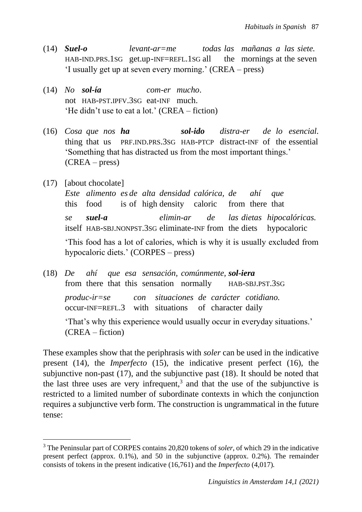- (14) *Suel-o levant-ar=me todas las mañanas a las siete.* HAB-IND.PRS.1SG get.up-INF=REFL.1SG all the mornings at the seven 'I usually get up at seven every morning.' (CREA – press)
- (14) *No sol-ía com-er mucho*. not HAB-PST.IPFV.3SG eat-INF much. 'He didn't use to eat a lot.' (CREA – fiction)
- (16) *Cosa que nos ha sol-ido distra-er de lo esencial.* thing that us PRF.IND.PRS.3SG HAB-PTCP distract-INF of the essential 'Something that has distracted us from the most important things.' (CREA – press)
- (17) [about chocolate]

*Este alimento es de alta densidad calórica, de ahí que*  this food is of high density caloric from there that *se suel-a elimin-ar de las dietas hipocalóricas.*  itself HAB-SBJ.NONPST.3SG eliminate-INF from the diets hypocaloric 'This food has a lot of calories, which is why it is usually excluded from hypocaloric diets.' (CORPES – press)

(18) *De ahí que esa sensación, comúnmente, sol-iera* from there that this sensation normally HAB-SBJ.PST.3SG *produc-ir=se con situaciones de carácter cotidiano.* occur-INF=REFL.3 with situations of character daily 'That's why this experience would usually occur in everyday situations.' (CREA – fiction)

These examples show that the periphrasis with *soler* can be used in the indicative present (14), the *Imperfecto* (15), the indicative present perfect (16), the subjunctive non-past (17), and the subjunctive past (18). It should be noted that the last three uses are very infrequent,<sup>3</sup> and that the use of the subjunctive is restricted to a limited number of subordinate contexts in which the conjunction requires a subjunctive verb form. The construction is ungrammatical in the future tense:

<sup>3</sup> The Peninsular part of CORPES contains 20,820 tokens of *soler*, of which 29 in the indicative present perfect (approx. 0.1%), and 50 in the subjunctive (approx. 0.2%). The remainder consists of tokens in the present indicative (16,761) and the *Imperfecto* (4,017)*.*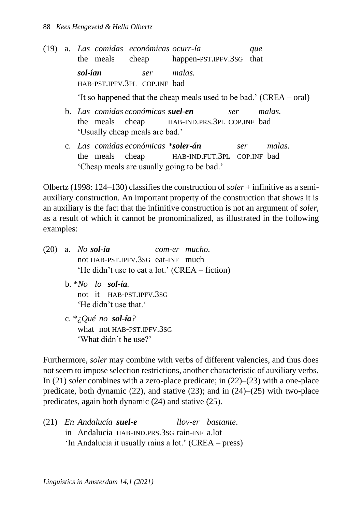- (19) a. *Las comidas económicas ocurr-ía que* the meals cheap happen-PST.IPFV.3SG that *sol-ían ser malas.* HAB-PST.IPFV.3PL COP.INF bad 'It so happened that the cheap meals used to be bad.' (CREA – oral) b. *Las comidas económicas suel-en ser malas.* the meals cheap HAB-IND.PRS.3PL COP.INF bad
	- c. *Las comidas económicas \*soler-án ser malas*. the meals cheap HAB-IND.FUT.3PL COP.INF bad 'Cheap meals are usually going to be bad.'

Olbertz (1998: 124–130) classifies the construction of *soler* + infinitive as a semiauxiliary construction. An important property of the construction that shows it is an auxiliary is the fact that the infinitive construction is not an argument of *soler*, as a result of which it cannot be pronominalized, as illustrated in the following examples:

(20) a. *No sol-ía com-er mucho.* not HAB-PST.IPFV.3SG eat-INF much 'He didn't use to eat a lot.' (CREA – fiction)

'Usually cheap meals are bad.'

- b. \**No lo sol-ía.* not it HAB-PST.IPFV.3SG 'He didn't use that.'
- c. \**¿Qué no sol-ía?* what not HAB-PST.IPFV.3SG 'What didn't he use?'

Furthermore, *soler* may combine with verbs of different valencies, and thus does not seem to impose selection restrictions, another characteristic of auxiliary verbs. In (21) *soler* combines with a zero-place predicate; in (22)–(23) with a one-place predicate, both dynamic  $(22)$ , and stative  $(23)$ ; and in  $(24)$ – $(25)$  with two-place predicates, again both dynamic (24) and stative (25).

(21) *En Andalucía suel-e llov-er bastante*. in Andalucia HAB-IND.PRS.3SG rain-INF a.lot 'In Andalucía it usually rains a lot.' (CREA – press)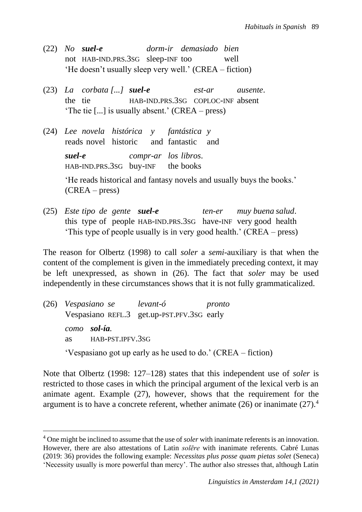- (22) *No suel-e dorm-ir demasiado bien* not HAB-IND.PRS.3SG sleep-INF too well 'He doesn't usually sleep very well.' (CREA – fiction)
- (23) *La corbata [...] suel-e est-ar ausente*. the tie HAB-IND.PRS.3SG COPLOC-INF absent 'The tie [...] is usually absent.' (CREA – press)
- (24) *Lee novela histórica y fantástica y* reads novel historic and fantastic and *suel-e compr-ar los libros*. HAB-IND.PRS.3SG buy-INF the books

'He reads historical and fantasy novels and usually buys the books.' (CREA – press)

(25) *Este tipo de gente suel-e ten-er muy buena salud*. this type of people HAB-IND.PRS.3SG have-INF very good health 'This type of people usually is in very good health.' (CREA – press)

The reason for Olbertz (1998) to call *soler* a *semi*-auxiliary is that when the content of the complement is given in the immediately preceding context, it may be left unexpressed, as shown in (26). The fact that *soler* may be used independently in these circumstances shows that it is not fully grammaticalized.

(26) *Vespasiano se levant-ó pronto* Vespasiano REFL.3 get.up-PST.PFV.3SG early *como sol-ía.* as HAB-PST.IPFV.3SG 'Vespasiano got up early as he used to do.' (CREA – fiction)

Note that Olbertz (1998: 127–128) states that this independent use of *soler* is restricted to those cases in which the principal argument of the lexical verb is an animate agent. Example (27), however, shows that the requirement for the argument is to have a concrete referent, whether animate  $(26)$  or inanimate  $(27).4$ 

<sup>4</sup> One might be inclined to assume that the use of *soler* with inanimate referents is an innovation. However, there are also attestations of Latin *solēre* with inanimate referents. Cabré Lunas (2019: 36) provides the following example: *Necessitas plus posse quam pietas solet* (Seneca) 'Necessity usually is more powerful than mercy'. The author also stresses that, although Latin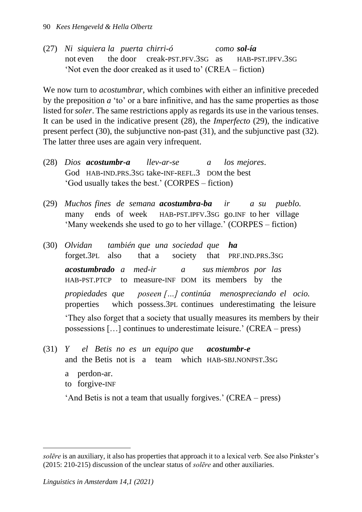(27) *Ni siquiera la puerta chirri-ó como sol-ía* not even the door creak-PST.PFV.3SG as HAB-PST.IPFV.3SG 'Not even the door creaked as it used to' (CREA – fiction)

We now turn to *acostumbrar*, which combines with either an infinitive preceded by the preposition *a* 'to' or a bare infinitive, and has the same properties as those listed for *soler*. The same restrictions apply as regards its use in the various tenses. It can be used in the indicative present (28), the *Imperfecto* (29), the indicative present perfect (30), the subjunctive non-past (31), and the subjunctive past (32). The latter three uses are again very infrequent.

- (28) *Dios acostumbr-a llev-ar-se a los mejores*. God HAB-IND.PRS.3SG take-INF-REFL.3 DOM the best 'God usually takes the best.' (CORPES – fiction)
- (29) *Muchos fines de semana acostumbra-ba ir a su pueblo.* many ends of week HAB-PST.IPFV.3SG go.INF to her village 'Many weekends she used to go to her village.' (CORPES – fiction)
- (30) *Olvidan también que una sociedad que ha* forget.3PL also that a society that PRF.IND.PRS.3SG *acostumbrado a med-ir a sus miembros por las* HAB-PST.PTCP to measure-INF DOM its members by the *propiedades que poseen […] continúa menospreciando el ocio.* properties which possess.3PL continues underestimating the leisure 'They also forget that a society that usually measures its members by their possessions […] continues to underestimate leisure.' (CREA – press)
- (31) *Y el Betis no es un equipo que acostumbr-e* and the Betis not is a team which HAB-SBJ.NONPST.3SG a perdon-ar. to forgive-INF

'And Betis is not a team that usually forgives.' (CREA – press)

*solēre* is an auxiliary, it also has properties that approach it to a lexical verb. See also Pinkster's (2015: 210-215) discussion of the unclear status of *solēre* and other auxiliaries.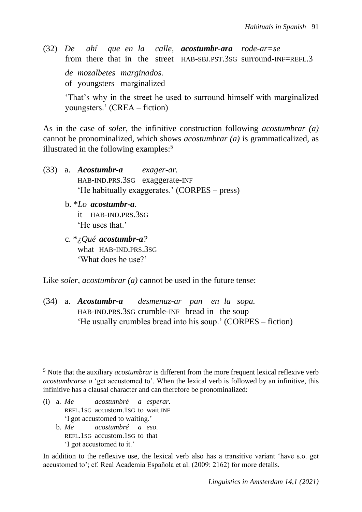(32) *De ahí que en la calle, acostumbr-ara rode-ar=se* from there that in the street HAB-SBJ.PST.3SG surround-INF=REFL.3 *de mozalbetes marginados.* of youngsters marginalized 'That's why in the street he used to surround himself with marginalized

youngsters.' (CREA – fiction)

As in the case of *soler,* the infinitive construction following *acostumbrar (a)*  cannot be pronominalized, which shows *acostumbrar (a)* is grammaticalized, as illustrated in the following examples: $5$ 

- (33) a. *Acostumbr-a exager-ar.* HAB-IND.PRS.3SG exaggerate-INF 'He habitually exaggerates.' (CORPES – press)
	- b. \**Lo acostumbr-a*. it HAB-IND.PRS.3SG 'He uses that.'
	- c. \**¿Qué acostumbr-a?* what HAB-IND.PRS.3SG 'What does he use?'

Like *soler*, *acostumbrar (a)* cannot be used in the future tense:

(34) a. *Acostumbr-a desmenuz-ar pan en la sopa.* HAB-IND.PRS.3SG crumble-INF bread in the soup 'He usually crumbles bread into his soup.' (CORPES – fiction)

- (i) a. *Me acostumbré a esperar.* REFL.1SG accustom.1SG to wait.INF 'I got accustomed to waiting.'
	- b. *Me acostumbré a eso.* REFL.1SG accustom.1SG to that 'I got accustomed to it.'

In addition to the reflexive use, the lexical verb also has a transitive variant 'have s.o. get accustomed to'; cf. Real Academia Española et al. (2009: 2162) for more details.

<sup>5</sup> Note that the auxiliary *acostumbrar* is different from the more frequent lexical reflexive verb *acostumbrarse a* 'get accustomed to'. When the lexical verb is followed by an infinitive, this infinitive has a clausal character and can therefore be pronominalized: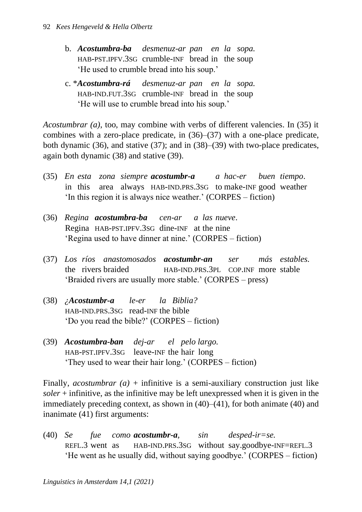- b. *Acostumbra-ba desmenuz-ar pan en la sopa.* HAB-PST.IPFV.3SG crumble-INF bread in the soup 'He used to crumble bread into his soup.'
- c. \**Acostumbra-rá desmenuz-ar pan en la sopa.* HAB-IND.FUT.3SG crumble-INF bread in the soup 'He will use to crumble bread into his soup.'

*Acostumbrar (a)*, too, may combine with verbs of different valencies. In (35) it combines with a zero-place predicate, in (36)–(37) with a one-place predicate, both dynamic (36), and stative (37); and in (38)–(39) with two-place predicates, again both dynamic (38) and stative (39).

- (35) *En esta zona siempre acostumbr-a a hac-er buen tiempo*. in this area always HAB-IND.PRS.3SG to make-INF good weather 'In this region it is always nice weather.' (CORPES – fiction)
- (36) *Regina acostumbra-ba cen-ar a las nueve*. Regina HAB-PST.IPFV.3SG dine-INF at the nine 'Regina used to have dinner at nine.' (CORPES – fiction)
- (37) *Los ríos anastomosados acostumbr-an ser más estables.* the rivers braided HAB-IND.PRS.3PL COP.INF more stable 'Braided rivers are usually more stable.' (CORPES – press)
- (38) *¿Acostumbr-a le-er la Biblia?* HAB-IND.PRS.3SG read-INF the bible 'Do you read the bible?' (CORPES – fiction)
- (39) *Acostumbra-ban dej-ar el pelo largo.* HAB-PST.IPFV.3SG leave-INF the hair long 'They used to wear their hair long.' (CORPES – fiction)

Finally, *acostumbrar* (*a*) + infinitive is a semi-auxiliary construction just like *soler* + infinitive, as the infinitive may be left unexpressed when it is given in the immediately preceding context, as shown in (40)–(41), for both animate (40) and inanimate (41) first arguments:

(40) *Se fue como acostumbr-a, sin desped-ir=se.* REFL.3 went as HAB-IND.PRS.3SG without say.goodbye-INF=REFL.3 'He went as he usually did, without saying goodbye.' (CORPES – fiction)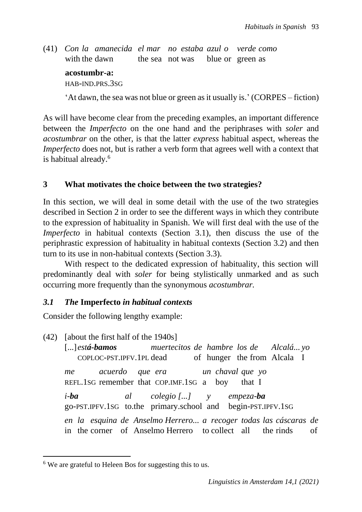(41) *Con la amanecida el mar no estaba azul o verde como* with the dawn the sea not was blue or green as **acostumbr-a:** HAB-IND.PRS.3SG 'At dawn, the sea was not blue or green as it usually is.' (CORPES – fiction)

As will have become clear from the preceding examples, an important difference between the *Imperfecto* on the one hand and the periphrases with *soler* and *acostumbrar* on the other, is that the latter *express* habitual aspect, whereas the *Imperfecto* does not, but is rather a verb form that agrees well with a context that is habitual already.<sup>6</sup>

# **3 What motivates the choice between the two strategies?**

In this section, we will deal in some detail with the use of the two strategies described in Section 2 in order to see the different ways in which they contribute to the expression of habituality in Spanish. We will first deal with the use of the *Imperfecto* in habitual contexts (Section 3.1), then discuss the use of the periphrastic expression of habituality in habitual contexts (Section 3.2) and then turn to its use in non-habitual contexts (Section 3.3).

With respect to the dedicated expression of habituality, this section will predominantly deal with *soler* for being stylistically unmarked and as such occurring more frequently than the synonymous *acostumbrar.* 

# *3.1 The* **Imperfecto** *in habitual contexts*

Consider the following lengthy example:

(42) [about the first half of the 1940s] [...]*está-bamos muertecitos de hambre los de Alcalá... yo* COPLOC-PST.IPFV.1PL dead of hunger the from Alcala I *me acuerdo que era un chaval que yo* REFL.1SG remember that COP.IMF.1SG a boy that I *i-ba al colegio [...] y empeza-ba* go-PST.IPFV.1SG to.the primary.school and begin-PST.IPFV.1SG *en la esquina de Anselmo Herrero... a recoger todas las cáscaras de* in the corner of Anselmo Herrero to collect all the rinds of

<sup>&</sup>lt;sup>6</sup> We are grateful to Heleen Bos for suggesting this to us.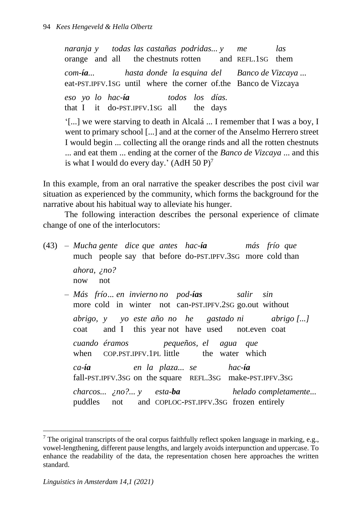*naranja y todas las castañas podridas... y me las* orange and all the chestnuts rotten and REFL.1SG them *com-ía... hasta donde la esquina del Banco de Vizcaya ...* eat-PST.IPFV.1SG until where the corner of.the Banco de Vizcaya *eso yo lo hac-ía todos los días.* that I it do-PST.IPFV.1SG all the days

'[...] we were starving to death in Alcalá ... I remember that I was a boy, I went to primary school [...] and at the corner of the Anselmo Herrero street I would begin ... collecting all the orange rinds and all the rotten chestnuts ... and eat them ... ending at the corner of the *Banco de Vizcaya* ... and this is what I would do every day.'  $(AdH 50 P)^7$ 

In this example, from an oral narrative the speaker describes the post civil war situation as experienced by the community, which forms the background for the narrative about his habitual way to alleviate his hunger.

The following interaction describes the personal experience of climate change of one of the interlocutors:

(43) – *Mucha gente dice que antes hac-ía más frío que* much people say that before do-PST.IPFV.3SG more cold than *ahora, ¿no?* now not – *Más frío... en invierno no pod-ías salir sin* more cold in winter not can-PST.IPFV.2SG go.out without *abrigo, y yo este año no he gastado ni abrigo [...]* coat and I this year not have used not.even coat *cuando éramos pequeños, el agua que*

when COP.PST.IPFV.1PL little the water which

*ca-ía en la plaza... se hac-ía* fall-PST.IPFV.3SG on the square REFL.3SG make-PST.IPFV.3SG *charcos... ¿no?... y esta-ba helado completamente...* puddles not and COPLOC-PST.IPFV.3SG frozen entirely

 $7$  The original transcripts of the oral corpus faithfully reflect spoken language in marking, e.g., vowel-lengthening, different pause lengths, and largely avoids interpunction and uppercase. To enhance the readability of the data, the representation chosen here approaches the written standard.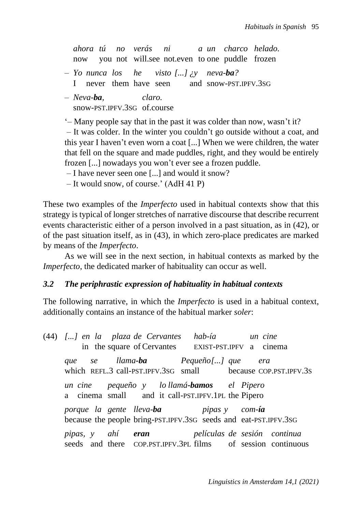*ahora tú no verás ni a un charco helado.* now you not will.see not.even to one puddle frozen – *Yo nunca los he visto [...] ¿y neva-ba?* I never them have seen and snow-PST.IPFV.3SG *– Neva-ba, claro.* snow-PST.IPFV.3SG of.course '– Many people say that in the past it was colder than now, wasn't it? – It was colder. In the winter you couldn't go outside without a coat, and

this year I haven't even worn a coat [...] When we were children, the water that fell on the square and made puddles, right, and they would be entirely frozen [...] nowadays you won't ever see a frozen puddle.

– I have never seen one [...] and would it snow?

– It would snow, of course.' (AdH 41 P)

These two examples of the *Imperfecto* used in habitual contexts show that this strategy is typical of longer stretches of narrative discourse that describe recurrent events characteristic either of a person involved in a past situation, as in (42), or of the past situation itself, as in (43), in which zero-place predicates are marked by means of the *Imperfecto*.

As we will see in the next section, in habitual contexts as marked by the *Imperfecto*, the dedicated marker of habituality can occur as well.

## *3.2 The periphrastic expression of habituality in habitual contexts*

The following narrative, in which the *Imperfecto* is used in a habitual context, additionally contains an instance of the habitual marker *soler*:

|                                            |  | $(44)$ $\left[ \ldots \right]$ en la plaza de Cervantes hab-ía un cine<br>in the square of Cervantes EXIST-PST.IPFV a cinema |  |                                                              |  |  |
|--------------------------------------------|--|------------------------------------------------------------------------------------------------------------------------------|--|--------------------------------------------------------------|--|--|
|                                            |  |                                                                                                                              |  |                                                              |  |  |
|                                            |  | que se llama-ba Pequeño[] que                                                                                                |  | era                                                          |  |  |
|                                            |  |                                                                                                                              |  | which REFL.3 call-PST.IPFV.3sG small because COP.PST.IPFV.3s |  |  |
| un cine pequeño y lo llamá-bamos el Pipero |  |                                                                                                                              |  |                                                              |  |  |
|                                            |  | a cinema small and it call-PST.IPFV.1PL the Pipero                                                                           |  |                                                              |  |  |
|                                            |  | porque la gente lleva- <b>ba</b> pipas y com-ía                                                                              |  |                                                              |  |  |
|                                            |  | because the people bring-PST.IPFV.3sG seeds and eat-PST.IPFV.3sG                                                             |  |                                                              |  |  |
| pipas, y ahí <b>eran</b>                   |  | películas de sesión continua                                                                                                 |  |                                                              |  |  |
|                                            |  | seeds and there COP.PST.IPFV.3PL films of session continuous                                                                 |  |                                                              |  |  |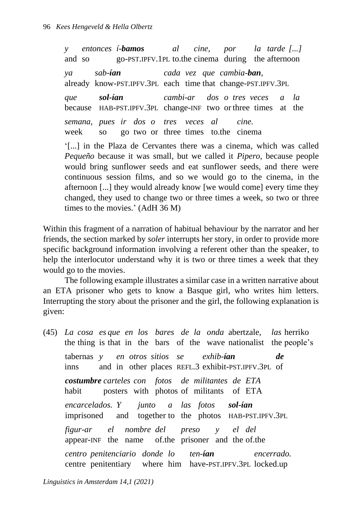*y entonces í-bamos al cine, por la tarde [...]* and so go-PST.IPFV.1PL to.the cinema during the afternoon *ya sab-ían cada vez que cambia-ban,* already know-PST.IPFV.3PL each time that change-PST.IPFV.3PL *que sol-ían cambi-ar dos o tres veces a la* because HAB-PST.IPFV.3PL change-INF two or three times at the *semana, pues ir dos o tres veces al cine.* week so go two or three times to.the cinema

'[...] in the Plaza de Cervantes there was a cinema, which was called *Pequeño* because it was small, but we called it *Pipero*, because people would bring sunflower seeds and eat sunflower seeds, and there were continuous session films, and so we would go to the cinema, in the afternoon [...] they would already know [we would come] every time they changed, they used to change two or three times a week, so two or three times to the movies.' (AdH 36 M)

Within this fragment of a narration of habitual behaviour by the narrator and her friends, the section marked by *soler* interrupts her story, in order to provide more specific background information involving a referent other than the speaker, to help the interlocutor understand why it is two or three times a week that they would go to the movies.

The following example illustrates a similar case in a written narrative about an ETA prisoner who gets to know a Basque girl, who writes him letters. Interrupting the story about the prisoner and the girl, the following explanation is given:

(45) *La cosa es que en los bares de la onda* abertzale, *las* herriko the thing is that in the bars of the wave nationalist the people's tabernas *y en otros sitios se exhib-ían de* inns and in other places REFL.3 exhibit-PST.IPFV.3PL of *costumbre carteles con fotos de militantes de ETA* habit posters with photos of militants of ETA *encarcelados. Y junto a las fotos sol-ían* imprisoned and together to the photos HAB-PST.IPFV.3PL *figur-ar el nombre del preso y el del* appear-INF the name of.the prisoner and the of.the *centro penitenciario donde lo ten-ían encerrado.* centre penitentiary where him have-PST.IPFV.3PL locked.up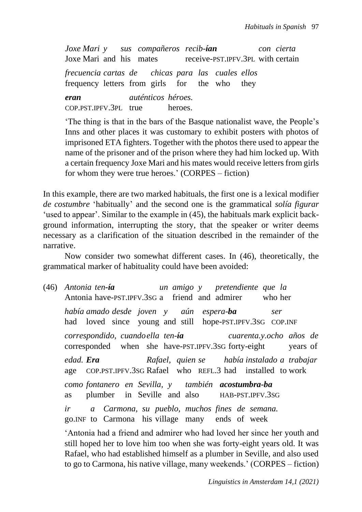*Joxe Mari y sus compañeros recib-ían con cierta* Joxe Mari and his mates receive-PST.IPFV.3PL with certain *frecuencia cartas de chicas para las cuales ellos* frequency letters from girls for the who they *eran auténticos héroes.* COP.PST.IPFV.3PL true heroes.

'The thing is that in the bars of the Basque nationalist wave, the People's Inns and other places it was customary to exhibit posters with photos of imprisoned ETA fighters. Together with the photos there used to appear the name of the prisoner and of the prison where they had him locked up. With a certain frequency Joxe Mari and his mates would receive letters from girls for whom they were true heroes.' (CORPES – fiction)

In this example, there are two marked habituals, the first one is a lexical modifier *de costumbre* 'habitually' and the second one is the grammatical *solía figurar* 'used to appear'. Similar to the example in (45), the habituals mark explicit background information, interrupting the story, that the speaker or writer deems necessary as a clarification of the situation described in the remainder of the narrative.

Now consider two somewhat different cases. In (46), theoretically, the grammatical marker of habituality could have been avoided:

(46) *Antonia ten-ía un amigo y pretendiente que la* Antonia have-PST.IPFV.3SG a friend and admirer who her *había amado desde joven y aún espera-ba ser* had loved since young and still hope-PST.IPFV.3SG COP.INF *correspondido, cuandoella ten-ía cuarenta.y.ocho años de* corresponded when she have-PST.IPFV.3SG forty-eight years of *edad. Era Rafael, quien se había instalado a trabajar* age COP.PST.IPFV.3SG Rafael who REFL.3 had installed to work *como fontanero en Sevilla, y también acostumbra-ba* as plumber in Seville and also HAB-PST.IPFV.3SG *ir a Carmona, su pueblo, muchos fines de semana.* go.INF to Carmona his village many ends of week

'Antonia had a friend and admirer who had loved her since her youth and still hoped her to love him too when she was forty-eight years old. It was Rafael, who had established himself as a plumber in Seville, and also used to go to Carmona, his native village, many weekends.' (CORPES – fiction)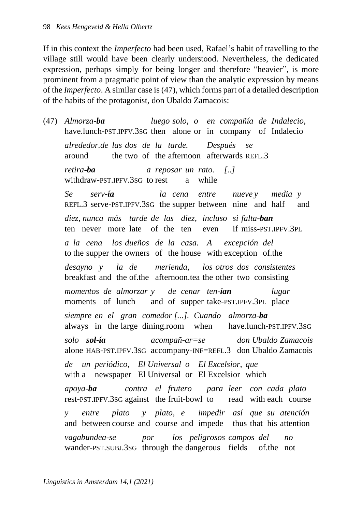If in this context the *Imperfecto* had been used, Rafael's habit of travelling to the village still would have been clearly understood. Nevertheless, the dedicated expression, perhaps simply for being longer and therefore "heavier", is more prominent from a pragmatic point of view than the analytic expression by means of the *Imperfecto*. A similar case is (47), which forms part of a detailed description of the habits of the protagonist, don Ubaldo Zamacois:

(47) *Almorza-ba luego solo, o en compañía de Indalecio,* have.lunch-PST.IPFV.3SG then alone or in company of Indalecio *alrededor.de las dos de la tarde. Después se* around the two of the afternoon afterwards REFL.3 *retira-ba a reposar un rato. [..]* withdraw-PST.IPFV.3SG to rest a while *Se serv-ía la cena entre nueve y media y* REFL.3 serve-PST.IPFV.3SG the supper between nine and half and *diez, nunca más tarde de las diez, incluso si falta-ban* ten never more late of the ten even if miss-PST.IPFV.3PL *a la cena los dueños de la casa. A excepción del* to the supper the owners of the house with exception of.the *desayno y la de merienda, los otros dos consistentes* breakfast and the of.the afternoon.tea the other two consisting *momentos de almorzar y de cenar ten-ían lugar* moments of lunch and of supper take-PST.IPFV.3PL place *siempre en el gran comedor [...]. Cuando almorza-ba* always in the large dining.room when have.lunch-PST.IPFV.3SG *solo sol-ía acompañ-ar=se don Ubaldo Zamacois* alone HAB-PST.IPFV.3SG accompany-INF=REFL.3 don Ubaldo Zamacois *de un periódico, El Universal o El Excelsior, que* with a newspaper El Universal or El Excelsior which *apoya-ba contra el frutero para leer con cada plato* rest-PST.IPFV.3SG against the fruit-bowl to read with each course *y entre plato y plato, e impedir así que su atención* and between course and course and impede thus that his attention *vagabundea-se por los peligrosos campos del no* wander-PST.SUBJ.3SG through the dangerous fields of.the not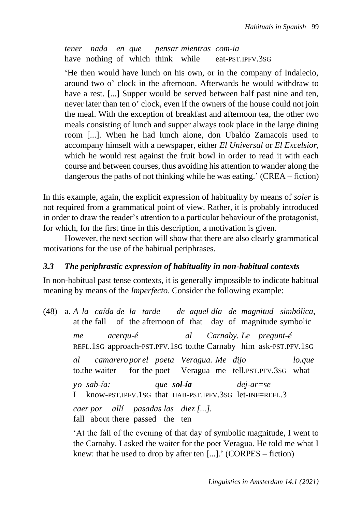*tener nada en que pensar mientras com-ia* have nothing of which think while eat-PST.IPFV.3SG

'He then would have lunch on his own, or in the company of Indalecio, around two o' clock in the afternoon. Afterwards he would withdraw to have a rest. [...] Supper would be served between half past nine and ten, never later than ten o' clock, even if the owners of the house could not join the meal. With the exception of breakfast and afternoon tea, the other two meals consisting of lunch and supper always took place in the large dining room [...]. When he had lunch alone, don Ubaldo Zamacois used to accompany himself with a newspaper, either *El Universal* or *El Excelsior*, which he would rest against the fruit bowl in order to read it with each course and between courses, thus avoiding his attention to wander along the dangerous the paths of not thinking while he was eating.' (CREA – fiction)

In this example, again, the explicit expression of habituality by means of *soler* is not required from a grammatical point of view. Rather, it is probably introduced in order to draw the reader's attention to a particular behaviour of the protagonist, for which, for the first time in this description, a motivation is given.

However, the next section will show that there are also clearly grammatical motivations for the use of the habitual periphrases.

## *3.3 The periphrastic expression of habituality in non-habitual contexts*

In non-habitual past tense contexts, it is generally impossible to indicate habitual meaning by means of the *Imperfecto*. Consider the following example:

(48) a. *A la caída de la tarde de aquel día de magnitud simbólica*, at the fall of the afternoon of that day of magnitude symbolic *me acerqu-é al Carnaby. Le pregunt-é* REFL.1SG approach-PST.PFV.1SG to.the Carnaby him ask-PST.PFV.1SG *al camarero por el poeta Veragua. Me dijo lo.que* to.the waiter for the poet Veragua me tell.PST.PFV.3SG what *yo sab-ía: que sol-ía dej-ar=se* I know-PST.IPFV.1SG that HAB-PST.IPFV.3SG let-INF=REFL.3 *caer por allí pasadas las diez [...].* fall about there passed the ten

> 'At the fall of the evening of that day of symbolic magnitude, I went to the Carnaby. I asked the waiter for the poet Veragua. He told me what I knew: that he used to drop by after ten  $[\dots]$ .' (CORPES – fiction)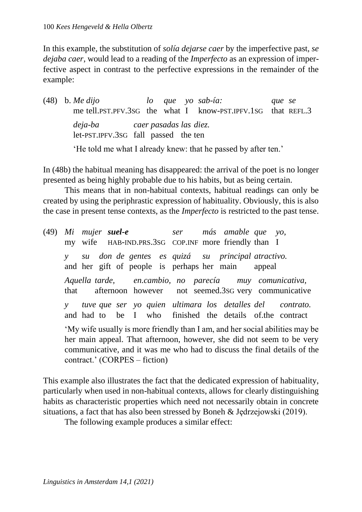In this example, the substitution of *solía dejarse caer* by the imperfective past, *se dejaba caer*, would lead to a reading of the *Imperfecto* as an expression of imperfective aspect in contrast to the perfective expressions in the remainder of the example:

(48) b. *Me dijo lo que yo sab-ía: que se* me tell.PST.PFV.3SG the what I know-PST.IPFV.1SG that REFL.3 *deja-ba caer pasadas las diez.* let-PST.IPFV.3SG fall passed the ten

'He told me what I already knew: that he passed by after ten.'

In (48b) the habitual meaning has disappeared: the arrival of the poet is no longer presented as being highly probable due to his habits, but as being certain.

This means that in non-habitual contexts, habitual readings can only be created by using the periphrastic expression of habituality. Obviously, this is also the case in present tense contexts, as the *Imperfecto* is restricted to the past tense.

| (49)                                                                                                               |  |  | Mi mujer suel-e |  |  |  | ser más amable que yo,                                                                                 |  |                                                                                                                                                   |
|--------------------------------------------------------------------------------------------------------------------|--|--|-----------------|--|--|--|--------------------------------------------------------------------------------------------------------|--|---------------------------------------------------------------------------------------------------------------------------------------------------|
|                                                                                                                    |  |  |                 |  |  |  | my wife HAB-IND.PRS.3SG COP.INF more friendly than I                                                   |  |                                                                                                                                                   |
|                                                                                                                    |  |  |                 |  |  |  | su don de gentes es quizá su principal atractivo.<br>and her gift of people is perhaps her main appeal |  |                                                                                                                                                   |
| Aquella tarde, en.cambio, no parecía muy comunicativa,<br>that afternoon however not seemed.3sG very communicative |  |  |                 |  |  |  |                                                                                                        |  |                                                                                                                                                   |
|                                                                                                                    |  |  |                 |  |  |  |                                                                                                        |  | y tuve que ser yo quien ultimara los detalles del contrato.<br>and had to be I who finished the details of the contract                           |
|                                                                                                                    |  |  |                 |  |  |  |                                                                                                        |  | 'My wife usually is more friendly than I am, and her social abilities may be                                                                      |
|                                                                                                                    |  |  |                 |  |  |  |                                                                                                        |  | her main appeal. That afternoon, however, she did not seem to be very<br>communicative, and it was me who had to discuss the final details of the |

This example also illustrates the fact that the dedicated expression of habituality, particularly when used in non-habitual contexts, allows for clearly distinguishing habits as characteristic properties which need not necessarily obtain in concrete situations, a fact that has also been stressed by Boneh & Jędrzejowski (2019).

The following example produces a similar effect:

contract.' (CORPES – fiction)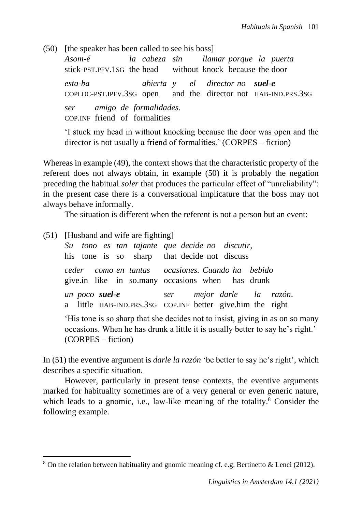(50) [the speaker has been called to see his boss] *Asom-é la cabeza sin llamar porque la puerta* stick-PST.PFV.1SG the head without knock because the door *esta-ba abierta y el director no suel-e* COPLOC-PST.IPFV.3SG open and the director not HAB-IND.PRS.3SG *ser amigo de formalidades.* COP.INF friend of formalities

'I stuck my head in without knocking because the door was open and the director is not usually a friend of formalities.' (CORPES – fiction)

Whereas in example (49), the context shows that the characteristic property of the referent does not always obtain, in example (50) it is probably the negation preceding the habitual *soler* that produces the particular effect of "unreliability": in the present case there is a conversational implicature that the boss may not always behave informally.

The situation is different when the referent is not a person but an event:

(51) [Husband and wife are fighting]

|  |  | Su tono es tan tajante que decide no discutir,<br>his tone is so sharp that decide not discuss           |
|--|--|----------------------------------------------------------------------------------------------------------|
|  |  | ceder como en tantas ocasiones. Cuando ha bebido<br>give in like in solmany occasions when has drunk     |
|  |  | un poco suel-e e ser mejor darle la razón.<br>a little HAB-IND.PRS.3sG COP.INF better give.him the right |

'His tone is so sharp that she decides not to insist, giving in as on so many occasions. When he has drunk a little it is usually better to say he's right.' (CORPES – fiction)

In (51) the eventive argument is *darle la razón* 'be better to say he's right', which describes a specific situation.

However, particularly in present tense contexts, the eventive arguments marked for habituality sometimes are of a very general or even generic nature, which leads to a gnomic, i.e., law-like meaning of the totality.<sup>8</sup> Consider the following example.

<sup>&</sup>lt;sup>8</sup> On the relation between habituality and gnomic meaning cf. e.g. Bertinetto  $\&$  Lenci (2012).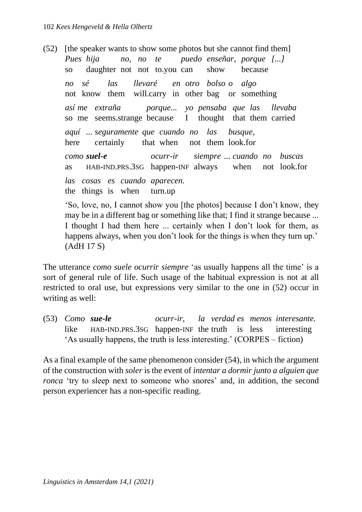(52) [the speaker wants to show some photos but she cannot find them] *Pues hija no, no te puedo enseñar, porque [...]* so daughter not not to.you can show because *no sé las llevaré en otro bolso o algo* not know them will.carry in other bag or something *así me extraña porque... yo pensaba que las llevaba* so me seems.strange because I thought that them carried *aquí ... seguramente que cuando no las busque*, here certainly that when not them look.for *como suel-e ocurr-ir siempre ... cuando no buscas* as HAB-IND.PRS.3SG happen-INF always when not look.for *las cosas es cuando aparecen.* the things is when turn.up 'So, love, no, I cannot show you [the photos] because I don't know, they

may be in a different bag or something like that; I find it strange because ... I thought I had them here ... certainly when I don't look for them, as happens always, when you don't look for the things is when they turn up.' (AdH 17 S)

The utterance *como suele ocurrir siempre* 'as usually happens all the time' is a sort of general rule of life. Such usage of the habitual expression is not at all restricted to oral use, but expressions very similar to the one in (52) occur in writing as well:

(53) *Como sue-le ocurr-ir, la verdad es menos interesante.* like HAB-IND.PRS.3SG happen-INF the truth is less interesting 'As usually happens, the truth is less interesting.' (CORPES – fiction)

As a final example of the same phenomenon consider (54), in which the argument of the construction with *soler* is the event of *intentar a dormir junto a alguien que ronca* 'try to sleep next to someone who snores' and, in addition, the second person experiencer has a non-specific reading.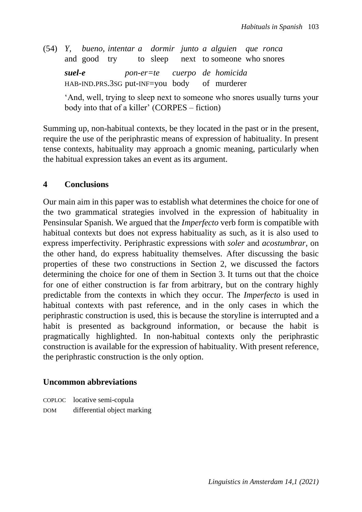(54) *Y, bueno, intentar a dormir junto a alguien que ronca* and good try to sleep next to someone who snores *suel-e pon-er=te cuerpo de homicida* HAB-IND.PRS.3SG put-INF=you body of murderer 'And, well, trying to sleep next to someone who snores usually turns your

body into that of a killer' (CORPES – fiction)

Summing up, non-habitual contexts, be they located in the past or in the present, require the use of the periphrastic means of expression of habituality. In present tense contexts, habituality may approach a gnomic meaning, particularly when the habitual expression takes an event as its argument.

# **4 Conclusions**

Our main aim in this paper was to establish what determines the choice for one of the two grammatical strategies involved in the expression of habituality in Pensinsular Spanish. We argued that the *Imperfecto* verb form is compatible with habitual contexts but does not express habituality as such, as it is also used to express imperfectivity. Periphrastic expressions with *soler* and *acostumbrar*, on the other hand, do express habituality themselves. After discussing the basic properties of these two constructions in Section 2, we discussed the factors determining the choice for one of them in Section 3. It turns out that the choice for one of either construction is far from arbitrary, but on the contrary highly predictable from the contexts in which they occur. The *Imperfecto* is used in habitual contexts with past reference, and in the only cases in which the periphrastic construction is used, this is because the storyline is interrupted and a habit is presented as background information, or because the habit is pragmatically highlighted. In non-habitual contexts only the periphrastic construction is available for the expression of habituality. With present reference, the periphrastic construction is the only option.

## **Uncommon abbreviations**

COPLOC locative semi-copula DOM differential object marking